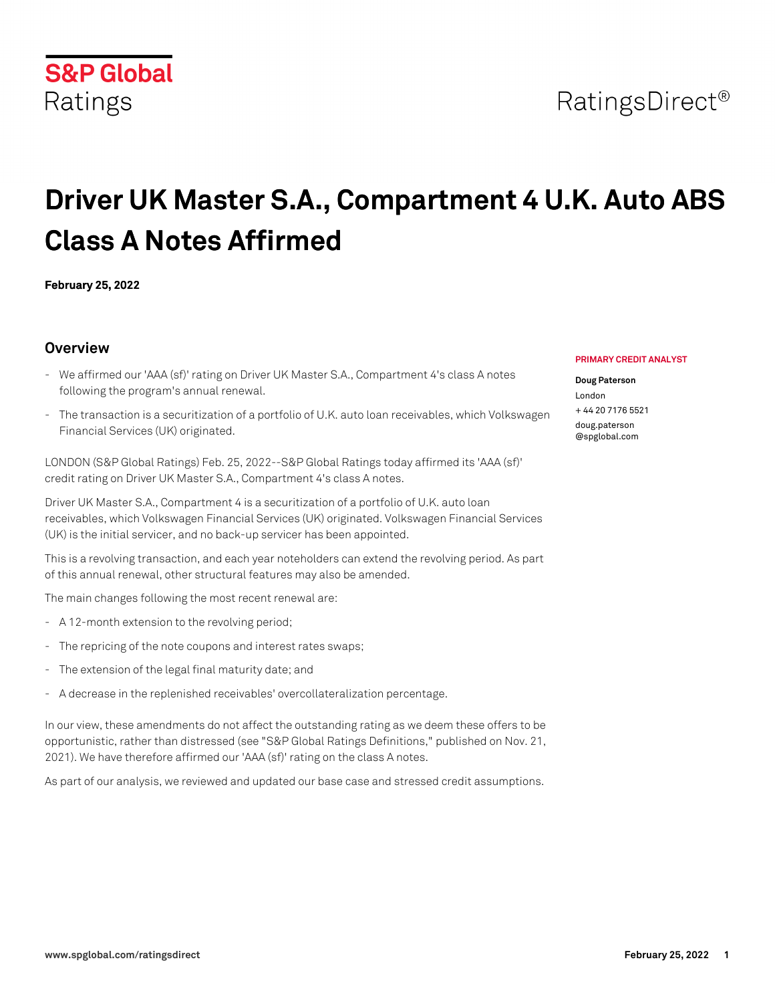

# **Driver UK Master S.A., Compartment 4 U.K. Auto ABS Class A Notes Affirmed**

**February 25, 2022**

## **Overview**

- We affirmed our 'AAA (sf)' rating on Driver UK Master S.A., Compartment 4's class A notes following the program's annual renewal.
- The transaction is a securitization of a portfolio of U.K. auto loan receivables, which Volkswagen Financial Services (UK) originated.

LONDON (S&P Global Ratings) Feb. 25, 2022--S&P Global Ratings today affirmed its 'AAA (sf)' credit rating on Driver UK Master S.A., Compartment 4's class A notes.

Driver UK Master S.A., Compartment 4 is a securitization of a portfolio of U.K. auto loan receivables, which Volkswagen Financial Services (UK) originated. Volkswagen Financial Services (UK) is the initial servicer, and no back-up servicer has been appointed.

This is a revolving transaction, and each year noteholders can extend the revolving period. As part of this annual renewal, other structural features may also be amended.

The main changes following the most recent renewal are:

- A 12-month extension to the revolving period;
- The repricing of the note coupons and interest rates swaps;
- The extension of the legal final maturity date; and
- A decrease in the replenished receivables' overcollateralization percentage.

In our view, these amendments do not affect the outstanding rating as we deem these offers to be opportunistic, rather than distressed (see "S&P Global Ratings Definitions," published on Nov. 21, 2021). We have therefore affirmed our 'AAA (sf)' rating on the class A notes.

As part of our analysis, we reviewed and updated our base case and stressed credit assumptions.

#### **PRIMARY CREDIT ANALYST**

#### **Doug Paterson**

London  $+ 44$  20 7176 5521 [doug.paterson](mailto: doug.paterson@spglobal.com) [@spglobal.com](mailto: doug.paterson@spglobal.com)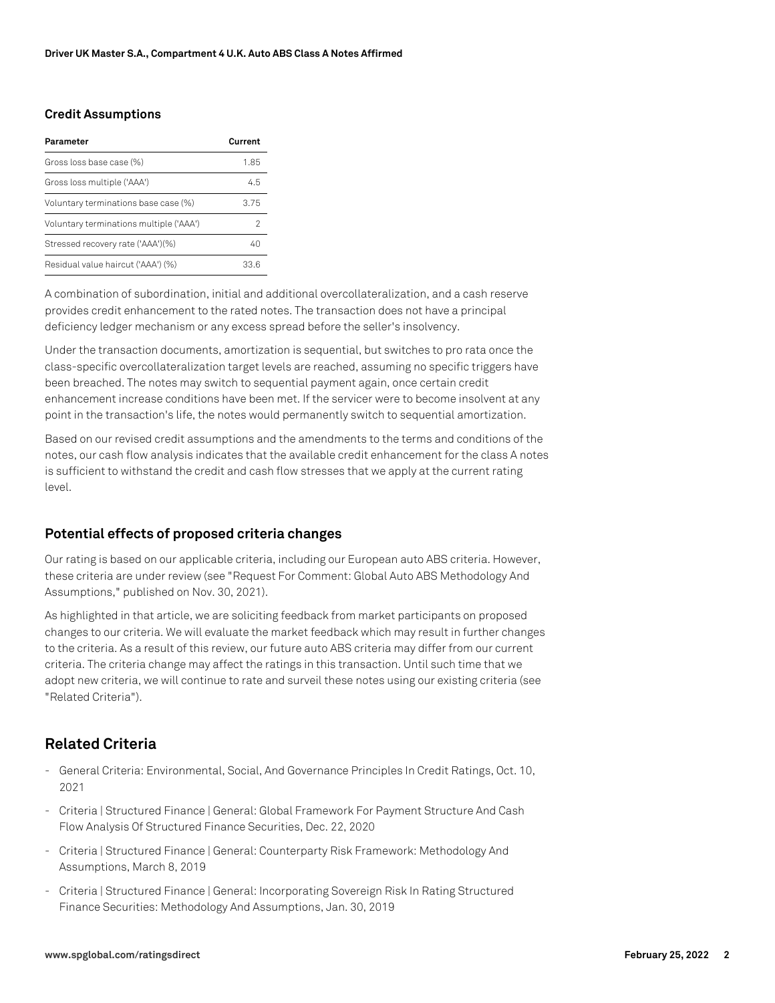### **Credit Assumptions**

| Parameter                               | Current |
|-----------------------------------------|---------|
| Gross loss base case (%)                | 1.85    |
| Gross loss multiple ('AAA')             | 45      |
| Voluntary terminations base case (%)    | 3.75    |
| Voluntary terminations multiple ('AAA') |         |
| Stressed recovery rate ('AAA')(%)       | 40      |
| Residual value haircut ('AAA') (%)      | 33.6    |

A combination of subordination, initial and additional overcollateralization, and a cash reserve provides credit enhancement to the rated notes. The transaction does not have a principal deficiency ledger mechanism or any excess spread before the seller's insolvency.

Under the transaction documents, amortization is sequential, but switches to pro rata once the class-specific overcollateralization target levels are reached, assuming no specific triggers have been breached. The notes may switch to sequential payment again, once certain credit enhancement increase conditions have been met. If the servicer were to become insolvent at any point in the transaction's life, the notes would permanently switch to sequential amortization.

Based on our revised credit assumptions and the amendments to the terms and conditions of the notes, our cash flow analysis indicates that the available credit enhancement for the class A notes is sufficient to withstand the credit and cash flow stresses that we apply at the current rating level.

## **Potential effects of proposed criteria changes**

Our rating is based on our applicable criteria, including our European auto ABS criteria. However, these criteria are under review (see "Request For Comment: Global Auto ABS Methodology And Assumptions," published on Nov. 30, 2021).

As highlighted in that article, we are soliciting feedback from market participants on proposed changes to our criteria. We will evaluate the market feedback which may result in further changes to the criteria. As a result of this review, our future auto ABS criteria may differ from our current criteria. The criteria change may affect the ratings in this transaction. Until such time that we adopt new criteria, we will continue to rate and surveil these notes using our existing criteria (see "Related Criteria").

# **Related Criteria**

- General Criteria: Environmental, Social, And Governance Principles In Credit Ratings, Oct. 10, 2021
- Criteria | Structured Finance | General: Global Framework For Payment Structure And Cash Flow Analysis Of Structured Finance Securities, Dec. 22, 2020
- Criteria | Structured Finance | General: Counterparty Risk Framework: Methodology And Assumptions, March 8, 2019
- Criteria | Structured Finance | General: Incorporating Sovereign Risk In Rating Structured Finance Securities: Methodology And Assumptions, Jan. 30, 2019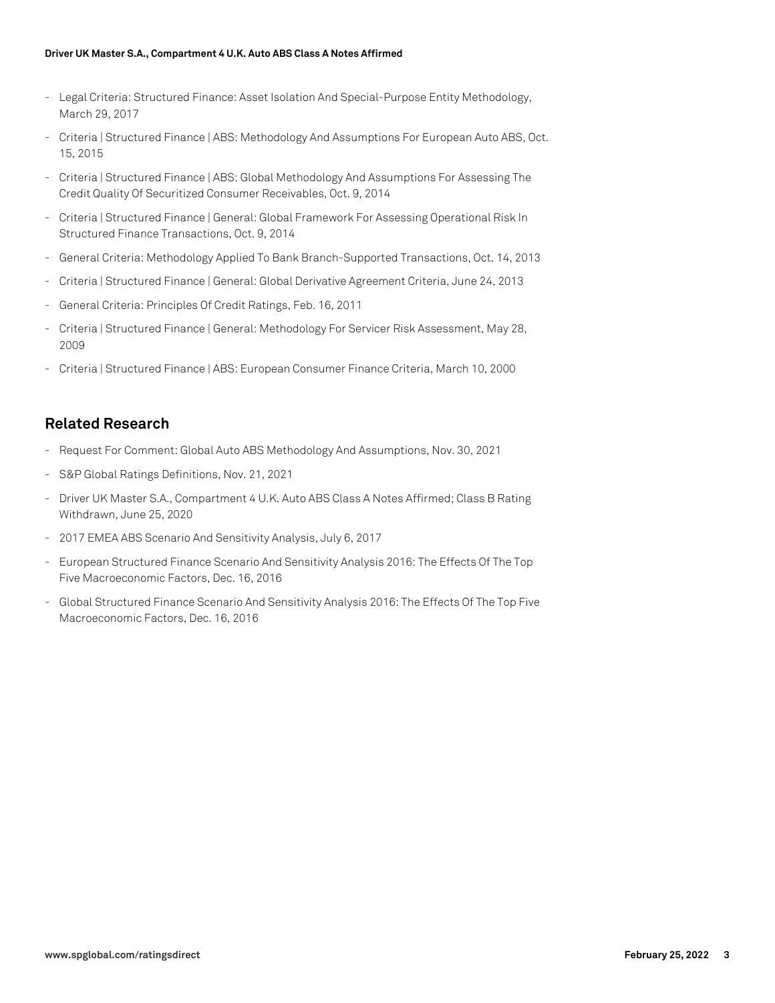#### **Driver UK Master S.A., Compartment 4 U.K. Auto ABS Class A Notes Affirmed**

- Legal Criteria: Structured Finance: Asset Isolation And Special-Purpose Entity Methodology, March 29, 2017
- Criteria | Structured Finance | ABS: Methodology And Assumptions For European Auto ABS, Oct. 15, 2015
- Criteria | Structured Finance | ABS: Global Methodology And Assumptions For Assessing The Credit Quality Of Securitized Consumer Receivables, Oct. 9, 2014
- Criteria | Structured Finance | General: Global Framework For Assessing Operational Risk In Structured Finance Transactions, Oct. 9, 2014
- General Criteria: Methodology Applied To Bank Branch-Supported Transactions, Oct. 14, 2013
- Criteria | Structured Finance | General: Global Derivative Agreement Criteria, June 24, 2013
- General Criteria: Principles Of Credit Ratings, Feb. 16, 2011
- Criteria | Structured Finance | General: Methodology For Servicer Risk Assessment, May 28, 2009
- Criteria | Structured Finance | ABS: European Consumer Finance Criteria, March 10, 2000

## **Related Research**

- Request For Comment: Global Auto ABS Methodology And Assumptions, Nov. 30, 2021
- S&P Global Ratings Definitions, Nov. 21, 2021
- Driver UK Master S.A., Compartment 4 U.K. Auto ABS Class A Notes Affirmed; Class B Rating Withdrawn, June 25, 2020
- 2017 EMEA ABS Scenario And Sensitivity Analysis, July 6, 2017
- European Structured Finance Scenario And Sensitivity Analysis 2016: The Effects Of The Top Five Macroeconomic Factors, Dec. 16, 2016
- Global Structured Finance Scenario And Sensitivity Analysis 2016: The Effects Of The Top Five Macroeconomic Factors, Dec. 16, 2016